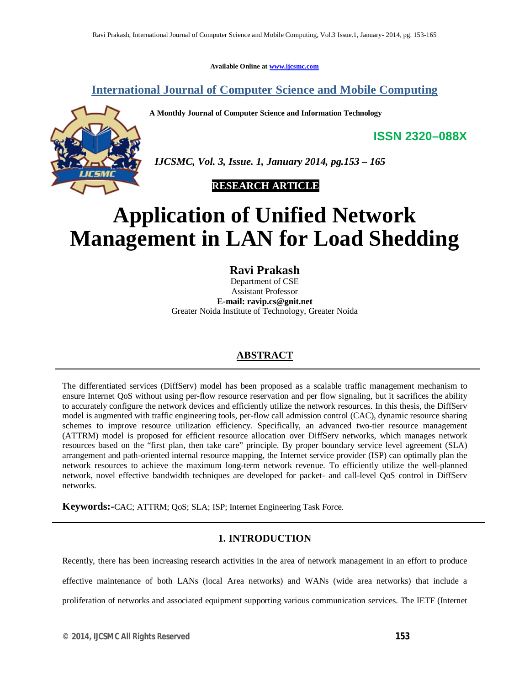**Available Online at www.ijcsmc.com**

**International Journal of Computer Science and Mobile Computing**

**A Monthly Journal of Computer Science and Information Technology**



 *IJCSMC, Vol. 3, Issue. 1, January 2014, pg.153 – 165*

 **RESEARCH ARTICLE**

# **Application of Unified Network Management in LAN for Load Shedding**

**Ravi Prakash**

Department of CSE Assistant Professor **E-mail: ravip.cs@gnit.net** Greater Noida Institute of Technology, Greater Noida

# **ABSTRACT**

The differentiated services (DiffServ) model has been proposed as a scalable traffic management mechanism to ensure Internet QoS without using per-flow resource reservation and per flow signaling, but it sacrifices the ability to accurately configure the network devices and efficiently utilize the network resources. In this thesis, the DiffServ model is augmented with traffic engineering tools, per-flow call admission control (CAC), dynamic resource sharing schemes to improve resource utilization efficiency. Specifically, an advanced two-tier resource management (ATTRM) model is proposed for efficient resource allocation over DiffServ networks, which manages network resources based on the "first plan, then take care" principle. By proper boundary service level agreement (SLA) arrangement and path-oriented internal resource mapping, the Internet service provider (ISP) can optimally plan the network resources to achieve the maximum long-term network revenue. To efficiently utilize the well-planned network, novel effective bandwidth techniques are developed for packet- and call-level QoS control in DiffServ networks.

**Keywords:-**CAC; ATTRM; QoS; SLA; ISP; Internet Engineering Task Force.

## **1. INTRODUCTION**

Recently, there has been increasing research activities in the area of network management in an effort to produce effective maintenance of both LANs (local Area networks) and WANs (wide area networks) that include a proliferation of networks and associated equipment supporting various communication services. The IETF (Internet

**ISSN 2320–088X**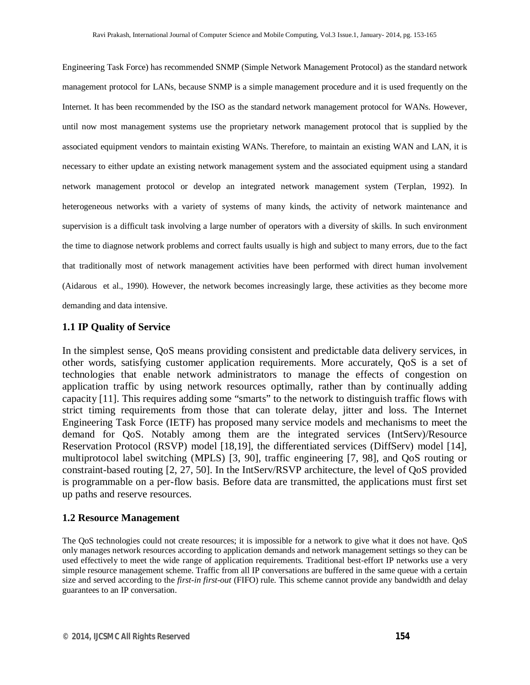Engineering Task Force) has recommended SNMP (Simple Network Management Protocol) as the standard network management protocol for LANs, because SNMP is a simple management procedure and it is used frequently on the Internet. It has been recommended by the ISO as the standard network management protocol for WANs. However, until now most management systems use the proprietary network management protocol that is supplied by the associated equipment vendors to maintain existing WANs. Therefore, to maintain an existing WAN and LAN, it is necessary to either update an existing network management system and the associated equipment using a standard network management protocol or develop an integrated network management system (Terplan, 1992). In heterogeneous networks with a variety of systems of many kinds, the activity of network maintenance and supervision is a difficult task involving a large number of operators with a diversity of skills. In such environment the time to diagnose network problems and correct faults usually is high and subject to many errors, due to the fact that traditionally most of network management activities have been performed with direct human involvement (Aidarous et al., 1990). However, the network becomes increasingly large, these activities as they become more demanding and data intensive.

## **1.1 IP Quality of Service**

In the simplest sense, QoS means providing consistent and predictable data delivery services, in other words, satisfying customer application requirements. More accurately, QoS is a set of technologies that enable network administrators to manage the effects of congestion on application traffic by using network resources optimally, rather than by continually adding capacity [11]. This requires adding some "smarts" to the network to distinguish traffic flows with strict timing requirements from those that can tolerate delay, jitter and loss. The Internet Engineering Task Force (IETF) has proposed many service models and mechanisms to meet the demand for QoS. Notably among them are the integrated services (IntServ)/Resource Reservation Protocol (RSVP) model [18,19], the differentiated services (DiffServ) model [14], multiprotocol label switching (MPLS) [3, 90], traffic engineering [7, 98], and QoS routing or constraint-based routing [2, 27, 50]. In the IntServ/RSVP architecture, the level of QoS provided is programmable on a per-flow basis. Before data are transmitted, the applications must first set up paths and reserve resources.

## **1.2 Resource Management**

The QoS technologies could not create resources; it is impossible for a network to give what it does not have. QoS only manages network resources according to application demands and network management settings so they can be used effectively to meet the wide range of application requirements. Traditional best-effort IP networks use a very simple resource management scheme. Traffic from all IP conversations are buffered in the same queue with a certain size and served according to the *first-in first-out* (FIFO) rule. This scheme cannot provide any bandwidth and delay guarantees to an IP conversation.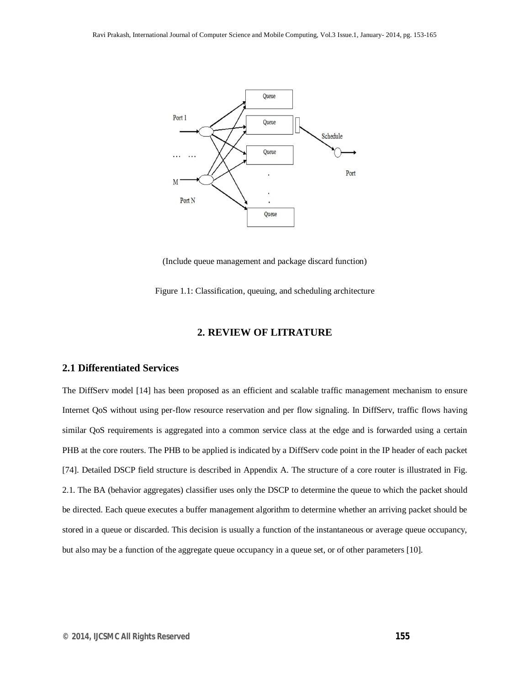

(Include queue management and package discard function)

Figure 1.1: Classification, queuing, and scheduling architecture

## **2. REVIEW OF LITRATURE**

## **2.1 Differentiated Services**

The DiffServ model [14] has been proposed as an efficient and scalable traffic management mechanism to ensure Internet QoS without using per-flow resource reservation and per flow signaling. In DiffServ, traffic flows having similar QoS requirements is aggregated into a common service class at the edge and is forwarded using a certain PHB at the core routers. The PHB to be applied is indicated by a DiffServ code point in the IP header of each packet [74]. Detailed DSCP field structure is described in Appendix A. The structure of a core router is illustrated in Fig. 2.1. The BA (behavior aggregates) classifier uses only the DSCP to determine the queue to which the packet should be directed. Each queue executes a buffer management algorithm to determine whether an arriving packet should be stored in a queue or discarded. This decision is usually a function of the instantaneous or average queue occupancy, but also may be a function of the aggregate queue occupancy in a queue set, or of other parameters [10].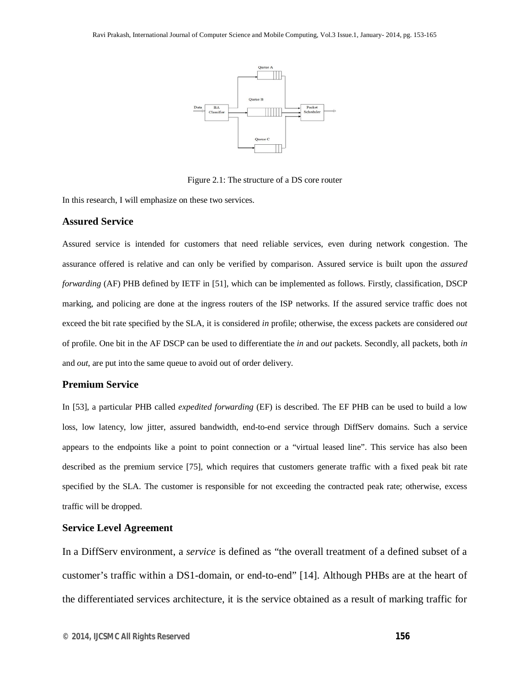

Figure 2.1: The structure of a DS core router

In this research, I will emphasize on these two services.

#### **Assured Service**

Assured service is intended for customers that need reliable services, even during network congestion. The assurance offered is relative and can only be verified by comparison. Assured service is built upon the *assured forwarding* (AF) PHB defined by IETF in [51], which can be implemented as follows. Firstly, classification, DSCP marking, and policing are done at the ingress routers of the ISP networks. If the assured service traffic does not exceed the bit rate specified by the SLA, it is considered *in* profile; otherwise, the excess packets are considered *out*  of profile. One bit in the AF DSCP can be used to differentiate the *in* and *out* packets. Secondly, all packets, both *in*  and *out*, are put into the same queue to avoid out of order delivery.

## **Premium Service**

In [53], a particular PHB called *expedited forwarding* (EF) is described. The EF PHB can be used to build a low loss, low latency, low jitter, assured bandwidth, end-to-end service through DiffServ domains. Such a service appears to the endpoints like a point to point connection or a "virtual leased line". This service has also been described as the premium service [75], which requires that customers generate traffic with a fixed peak bit rate specified by the SLA. The customer is responsible for not exceeding the contracted peak rate; otherwise, excess traffic will be dropped.

## **Service Level Agreement**

In a DiffServ environment, a *service* is defined as "the overall treatment of a defined subset of a customer's traffic within a DS1-domain, or end-to-end" [14]. Although PHBs are at the heart of the differentiated services architecture, it is the service obtained as a result of marking traffic for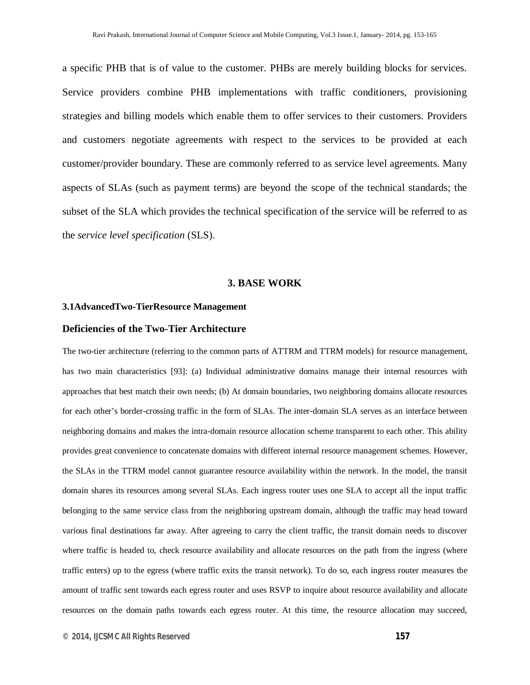a specific PHB that is of value to the customer. PHBs are merely building blocks for services. Service providers combine PHB implementations with traffic conditioners, provisioning strategies and billing models which enable them to offer services to their customers. Providers and customers negotiate agreements with respect to the services to be provided at each customer/provider boundary. These are commonly referred to as service level agreements. Many aspects of SLAs (such as payment terms) are beyond the scope of the technical standards; the subset of the SLA which provides the technical specification of the service will be referred to as the *service level specification* (SLS).

#### **3. BASE WORK**

## **3.1AdvancedTwo-TierResource Management**

## **Deficiencies of the Two-Tier Architecture**

The two-tier architecture (referring to the common parts of ATTRM and TTRM models) for resource management, has two main characteristics [93]: (a) Individual administrative domains manage their internal resources with approaches that best match their own needs; (b) At domain boundaries, two neighboring domains allocate resources for each other's border-crossing traffic in the form of SLAs. The inter-domain SLA serves as an interface between neighboring domains and makes the intra-domain resource allocation scheme transparent to each other. This ability provides great convenience to concatenate domains with different internal resource management schemes. However, the SLAs in the TTRM model cannot guarantee resource availability within the network. In the model, the transit domain shares its resources among several SLAs. Each ingress router uses one SLA to accept all the input traffic belonging to the same service class from the neighboring upstream domain, although the traffic may head toward various final destinations far away. After agreeing to carry the client traffic, the transit domain needs to discover where traffic is headed to, check resource availability and allocate resources on the path from the ingress (where traffic enters) up to the egress (where traffic exits the transit network). To do so, each ingress router measures the amount of traffic sent towards each egress router and uses RSVP to inquire about resource availability and allocate resources on the domain paths towards each egress router. At this time, the resource allocation may succeed,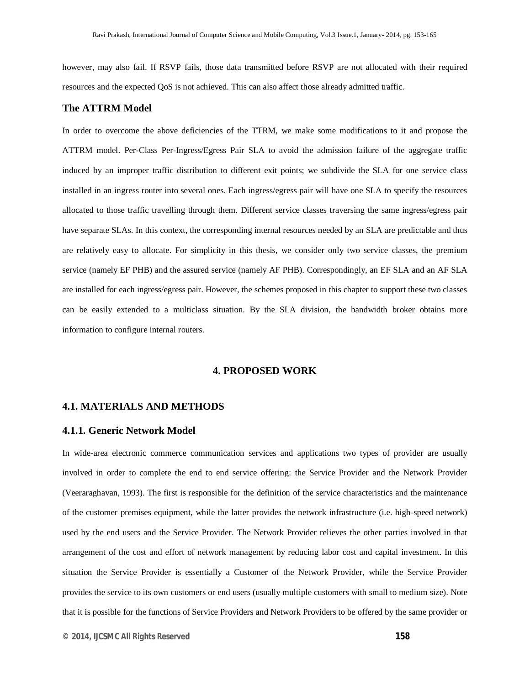however, may also fail. If RSVP fails, those data transmitted before RSVP are not allocated with their required resources and the expected QoS is not achieved. This can also affect those already admitted traffic.

#### **The ATTRM Model**

In order to overcome the above deficiencies of the TTRM, we make some modifications to it and propose the ATTRM model. Per-Class Per-Ingress/Egress Pair SLA to avoid the admission failure of the aggregate traffic induced by an improper traffic distribution to different exit points; we subdivide the SLA for one service class installed in an ingress router into several ones. Each ingress/egress pair will have one SLA to specify the resources allocated to those traffic travelling through them. Different service classes traversing the same ingress/egress pair have separate SLAs. In this context, the corresponding internal resources needed by an SLA are predictable and thus are relatively easy to allocate. For simplicity in this thesis, we consider only two service classes, the premium service (namely EF PHB) and the assured service (namely AF PHB). Correspondingly, an EF SLA and an AF SLA are installed for each ingress/egress pair. However, the schemes proposed in this chapter to support these two classes can be easily extended to a multiclass situation. By the SLA division, the bandwidth broker obtains more information to configure internal routers.

## **4. PROPOSED WORK**

## **4.1. MATERIALS AND METHODS**

#### **4.1.1. Generic Network Model**

In wide-area electronic commerce communication services and applications two types of provider are usually involved in order to complete the end to end service offering: the Service Provider and the Network Provider (Veeraraghavan, 1993). The first is responsible for the definition of the service characteristics and the maintenance of the customer premises equipment, while the latter provides the network infrastructure (i.e. high-speed network) used by the end users and the Service Provider. The Network Provider relieves the other parties involved in that arrangement of the cost and effort of network management by reducing labor cost and capital investment. In this situation the Service Provider is essentially a Customer of the Network Provider, while the Service Provider provides the service to its own customers or end users (usually multiple customers with small to medium size). Note that it is possible for the functions of Service Providers and Network Providers to be offered by the same provider or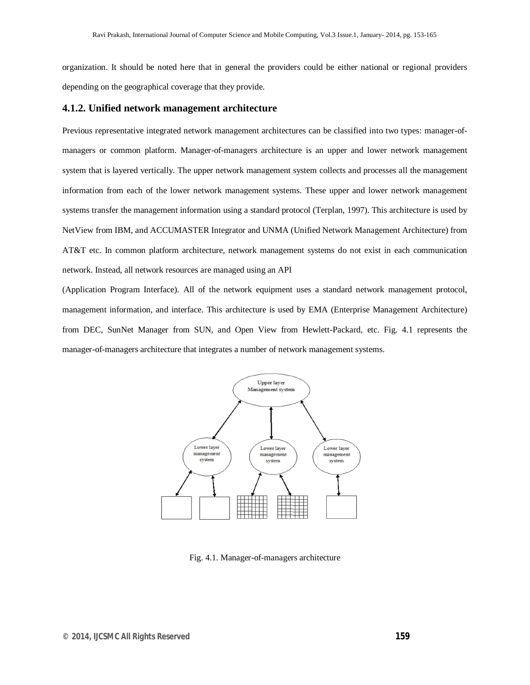organization. It should be noted here that in general the providers could be either national or regional providers depending on the geographical coverage that they provide.

#### **4.1.2. Unified network management architecture**

Previous representative integrated network management architectures can be classified into two types: manager-ofmanagers or common platform. Manager-of-managers architecture is an upper and lower network management system that is layered vertically. The upper network management system collects and processes all the management information from each of the lower network management systems. These upper and lower network management systems transfer the management information using a standard protocol (Terplan, 1997). This architecture is used by NetView from IBM, and ACCUMASTER Integrator and UNMA (Unified Network Management Architecture) from AT&T etc. In common platform architecture, network management systems do not exist in each communication network. Instead, all network resources are managed using an API

(Application Program Interface). All of the network equipment uses a standard network management protocol, management information, and interface. This architecture is used by EMA (Enterprise Management Architecture) from DEC, SunNet Manager from SUN, and Open View from Hewlett-Packard, etc. Fig. 4.1 represents the manager-of-managers architecture that integrates a number of network management systems.



Fig. 4.1. Manager-of-managers architecture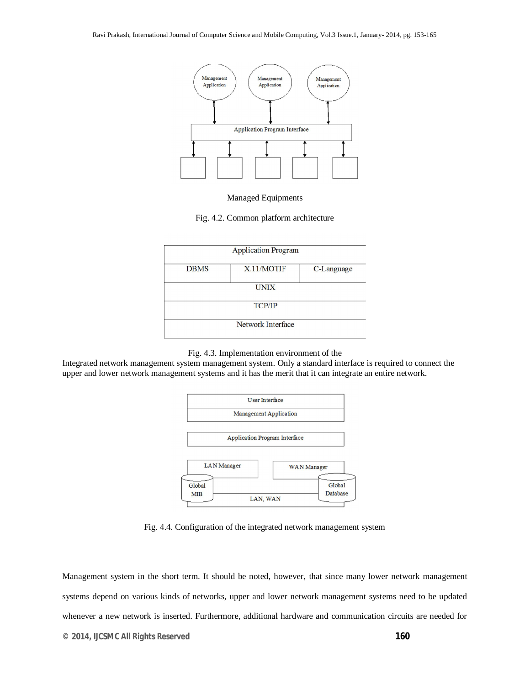

#### Managed Equipments

Fig. 4.2. Common platform architecture

| <b>Application Program</b> |            |            |
|----------------------------|------------|------------|
| <b>DBMS</b>                | X.11/MOTIF | C-Language |
| <b>UNIX</b>                |            |            |
| <b>TCP/IP</b>              |            |            |
| Network Interface          |            |            |

#### Fig. 4.3. Implementation environment of the

Integrated network management system management system. Only a standard interface is required to connect the upper and lower network management systems and it has the merit that it can integrate an entire network.



Fig. 4.4. Configuration of the integrated network management system

Management system in the short term. It should be noted, however, that since many lower network management systems depend on various kinds of networks, upper and lower network management systems need to be updated whenever a new network is inserted. Furthermore, additional hardware and communication circuits are needed for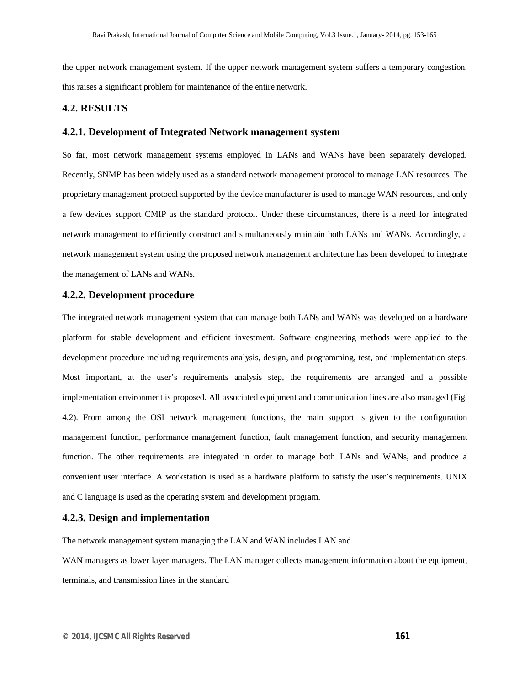the upper network management system. If the upper network management system suffers a temporary congestion, this raises a significant problem for maintenance of the entire network.

#### **4.2. RESULTS**

## **4.2.1. Development of Integrated Network management system**

So far, most network management systems employed in LANs and WANs have been separately developed. Recently, SNMP has been widely used as a standard network management protocol to manage LAN resources. The proprietary management protocol supported by the device manufacturer is used to manage WAN resources, and only a few devices support CMIP as the standard protocol. Under these circumstances, there is a need for integrated network management to efficiently construct and simultaneously maintain both LANs and WANs. Accordingly, a network management system using the proposed network management architecture has been developed to integrate the management of LANs and WANs.

## **4.2.2. Development procedure**

The integrated network management system that can manage both LANs and WANs was developed on a hardware platform for stable development and efficient investment. Software engineering methods were applied to the development procedure including requirements analysis, design, and programming, test, and implementation steps. Most important, at the user's requirements analysis step, the requirements are arranged and a possible implementation environment is proposed. All associated equipment and communication lines are also managed (Fig. 4.2). From among the OSI network management functions, the main support is given to the configuration management function, performance management function, fault management function, and security management function. The other requirements are integrated in order to manage both LANs and WANs, and produce a convenient user interface. A workstation is used as a hardware platform to satisfy the user's requirements. UNIX and C language is used as the operating system and development program.

## **4.2.3. Design and implementation**

The network management system managing the LAN and WAN includes LAN and

WAN managers as lower layer managers. The LAN manager collects management information about the equipment, terminals, and transmission lines in the standard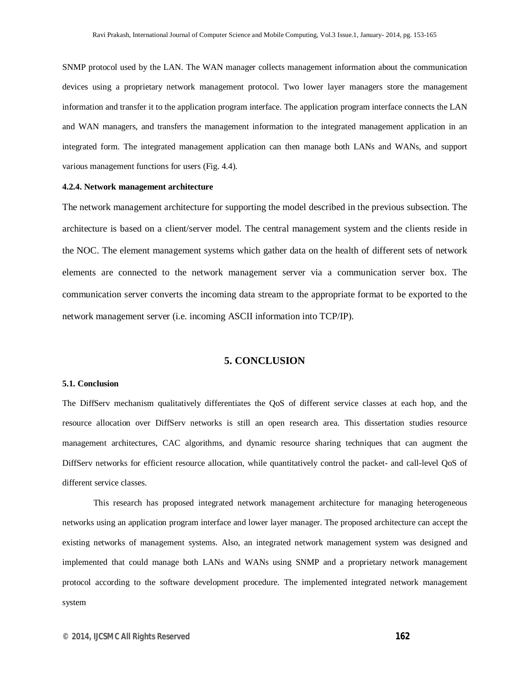SNMP protocol used by the LAN. The WAN manager collects management information about the communication devices using a proprietary network management protocol. Two lower layer managers store the management information and transfer it to the application program interface. The application program interface connects the LAN and WAN managers, and transfers the management information to the integrated management application in an integrated form. The integrated management application can then manage both LANs and WANs, and support various management functions for users (Fig. 4.4).

#### **4.2.4. Network management architecture**

The network management architecture for supporting the model described in the previous subsection. The architecture is based on a client/server model. The central management system and the clients reside in the NOC. The element management systems which gather data on the health of different sets of network elements are connected to the network management server via a communication server box. The communication server converts the incoming data stream to the appropriate format to be exported to the network management server (i.e. incoming ASCII information into TCP/IP).

## **5. CONCLUSION**

#### **5.1. Conclusion**

The DiffServ mechanism qualitatively differentiates the QoS of different service classes at each hop, and the resource allocation over DiffServ networks is still an open research area. This dissertation studies resource management architectures, CAC algorithms, and dynamic resource sharing techniques that can augment the DiffServ networks for efficient resource allocation, while quantitatively control the packet- and call-level QoS of different service classes.

This research has proposed integrated network management architecture for managing heterogeneous networks using an application program interface and lower layer manager. The proposed architecture can accept the existing networks of management systems. Also, an integrated network management system was designed and implemented that could manage both LANs and WANs using SNMP and a proprietary network management protocol according to the software development procedure. The implemented integrated network management system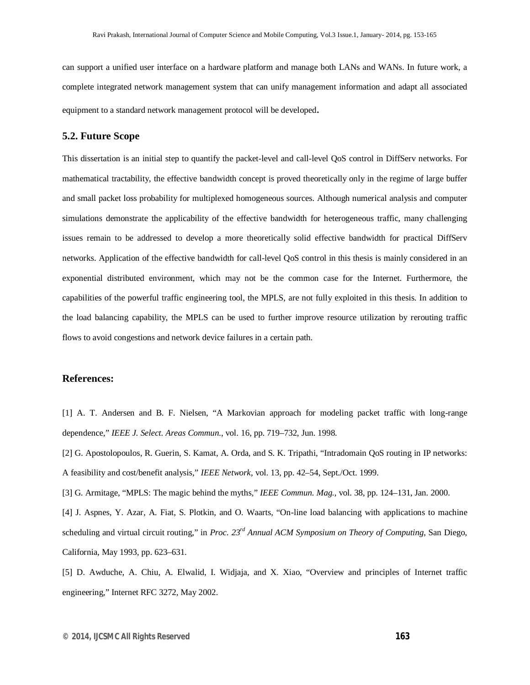can support a unified user interface on a hardware platform and manage both LANs and WANs. In future work, a complete integrated network management system that can unify management information and adapt all associated equipment to a standard network management protocol will be developed.

#### **5.2. Future Scope**

This dissertation is an initial step to quantify the packet-level and call-level QoS control in DiffServ networks. For mathematical tractability, the effective bandwidth concept is proved theoretically only in the regime of large buffer and small packet loss probability for multiplexed homogeneous sources. Although numerical analysis and computer simulations demonstrate the applicability of the effective bandwidth for heterogeneous traffic, many challenging issues remain to be addressed to develop a more theoretically solid effective bandwidth for practical DiffServ networks. Application of the effective bandwidth for call-level QoS control in this thesis is mainly considered in an exponential distributed environment, which may not be the common case for the Internet. Furthermore, the capabilities of the powerful traffic engineering tool, the MPLS, are not fully exploited in this thesis. In addition to the load balancing capability, the MPLS can be used to further improve resource utilization by rerouting traffic flows to avoid congestions and network device failures in a certain path.

#### **References:**

[1] A. T. Andersen and B. F. Nielsen, "A Markovian approach for modeling packet traffic with long-range dependence," *IEEE J. Select. Areas Commun.*, vol. 16, pp. 719–732, Jun. 1998.

[2] G. Apostolopoulos, R. Guerin, S. Kamat, A. Orda, and S. K. Tripathi, "Intradomain QoS routing in IP networks: A feasibility and cost/benefit analysis," *IEEE Network*, vol. 13, pp. 42–54, Sept./Oct. 1999.

[3] G. Armitage, "MPLS: The magic behind the myths," *IEEE Commun. Mag.*, vol. 38, pp. 124–131, Jan. 2000.

[4] J. Aspnes, Y. Azar, A. Fiat, S. Plotkin, and O. Waarts, "On-line load balancing with applications to machine scheduling and virtual circuit routing," in *Proc. 23rd Annual ACM Symposium on Theory of Computing*, San Diego, California, May 1993, pp. 623–631.

[5] D. Awduche, A. Chiu, A. Elwalid, I. Widjaja, and X. Xiao, "Overview and principles of Internet traffic engineering," Internet RFC 3272, May 2002.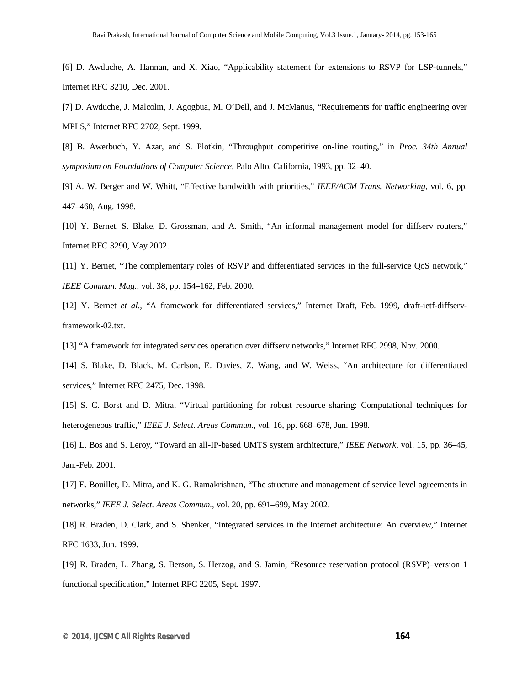[6] D. Awduche, A. Hannan, and X. Xiao, "Applicability statement for extensions to RSVP for LSP-tunnels," Internet RFC 3210, Dec. 2001.

[7] D. Awduche, J. Malcolm, J. Agogbua, M. O'Dell, and J. McManus, "Requirements for traffic engineering over MPLS," Internet RFC 2702, Sept. 1999.

[8] B. Awerbuch, Y. Azar, and S. Plotkin, "Throughput competitive on-line routing," in *Proc. 34th Annual symposium on Foundations of Computer Science*, Palo Alto, California, 1993, pp. 32–40.

[9] A. W. Berger and W. Whitt, "Effective bandwidth with priorities," *IEEE/ACM Trans. Networking*, vol. 6, pp. 447–460, Aug. 1998.

[10] Y. Bernet, S. Blake, D. Grossman, and A. Smith, "An informal management model for diffserv routers," Internet RFC 3290, May 2002.

[11] Y. Bernet, "The complementary roles of RSVP and differentiated services in the full-service QoS network," *IEEE Commun. Mag.*, vol. 38, pp. 154–162, Feb. 2000.

[12] Y. Bernet *et al.*, "A framework for differentiated services," Internet Draft, Feb. 1999, draft-ietf-diffservframework-02.txt.

[13] "A framework for integrated services operation over diffserv networks," Internet RFC 2998, Nov. 2000.

[14] S. Blake, D. Black, M. Carlson, E. Davies, Z. Wang, and W. Weiss, "An architecture for differentiated services," Internet RFC 2475, Dec. 1998.

[15] S. C. Borst and D. Mitra, "Virtual partitioning for robust resource sharing: Computational techniques for heterogeneous traffic," *IEEE J. Select. Areas Commun.*, vol. 16, pp. 668–678, Jun. 1998.

[16] L. Bos and S. Leroy, "Toward an all-IP-based UMTS system architecture," *IEEE Network*, vol. 15, pp. 36–45, Jan.-Feb. 2001.

[17] E. Bouillet, D. Mitra, and K. G. Ramakrishnan, "The structure and management of service level agreements in networks," *IEEE J. Select. Areas Commun.*, vol. 20, pp. 691–699, May 2002.

[18] R. Braden, D. Clark, and S. Shenker, "Integrated services in the Internet architecture: An overview," Internet RFC 1633, Jun. 1999.

[19] R. Braden, L. Zhang, S. Berson, S. Herzog, and S. Jamin, "Resource reservation protocol (RSVP)–version 1 functional specification," Internet RFC 2205, Sept. 1997.